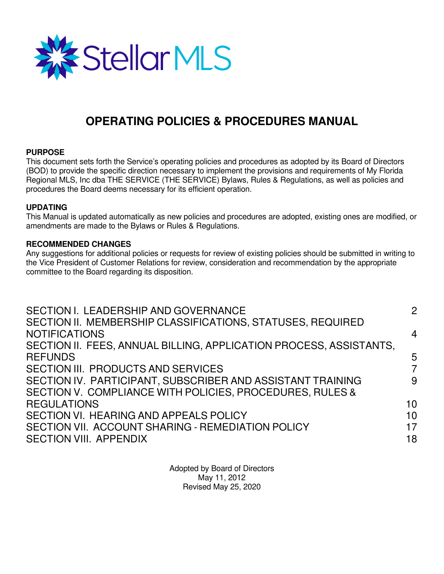

# **OPERATING POLICIES & PROCEDURES MANUAL**

#### **PURPOSE**

This document sets forth the Service's operating policies and procedures as adopted by its Board of Directors (BOD) to provide the specific direction necessary to implement the provisions and requirements of My Florida Regional MLS, Inc dba THE SERVICE (THE SERVICE) Bylaws, Rules & Regulations, as well as policies and procedures the Board deems necessary for its efficient operation.

#### **UPDATING**

This Manual is updated automatically as new policies and procedures are adopted, existing ones are modified, or amendments are made to the Bylaws or Rules & Regulations.

#### **RECOMMENDED CHANGES**

Any suggestions for additional policies or requests for review of existing policies should be submitted in writing to the Vice President of Customer Relations for review, consideration and recommendation by the appropriate committee to the Board regarding its disposition.

| SECTION I. LEADERSHIP AND GOVERNANCE                               | $\overline{2}$ |
|--------------------------------------------------------------------|----------------|
| SECTION II. MEMBERSHIP CLASSIFICATIONS, STATUSES, REQUIRED         |                |
| <b>NOTIFICATIONS</b>                                               | 4              |
| SECTION II. FEES, ANNUAL BILLING, APPLICATION PROCESS, ASSISTANTS, |                |
| <b>REFUNDS</b>                                                     | 5              |
| SECTION III. PRODUCTS AND SERVICES                                 | 7              |
| SECTION IV. PARTICIPANT, SUBSCRIBER AND ASSISTANT TRAINING         | 9              |
| SECTION V. COMPLIANCE WITH POLICIES, PROCEDURES, RULES &           |                |
| <b>REGULATIONS</b>                                                 | 10             |
| SECTION VI. HEARING AND APPEALS POLICY                             | 10             |
| SECTION VII. ACCOUNT SHARING - REMEDIATION POLICY                  | 17             |
| <b>SECTION VIII. APPENDIX</b>                                      | 18             |

Adopted by Board of Directors May 11, 2012 Revised May 25, 2020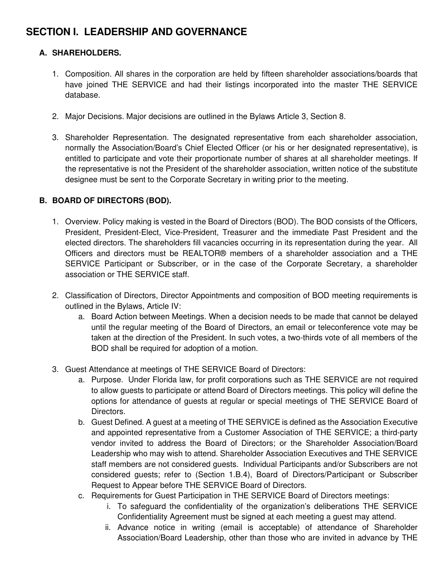# **SECTION I. LEADERSHIP AND GOVERNANCE**

# **A. SHAREHOLDERS.**

- 1. Composition. All shares in the corporation are held by fifteen shareholder associations/boards that have joined THE SERVICE and had their listings incorporated into the master THE SERVICE database.
- 2. Major Decisions. Major decisions are outlined in the Bylaws Article 3, Section 8.
- 3. Shareholder Representation. The designated representative from each shareholder association, normally the Association/Board's Chief Elected Officer (or his or her designated representative), is entitled to participate and vote their proportionate number of shares at all shareholder meetings. If the representative is not the President of the shareholder association, written notice of the substitute designee must be sent to the Corporate Secretary in writing prior to the meeting.

### **B. BOARD OF DIRECTORS (BOD).**

- 1. Overview. Policy making is vested in the Board of Directors (BOD). The BOD consists of the Officers, President, President-Elect, Vice-President, Treasurer and the immediate Past President and the elected directors. The shareholders fill vacancies occurring in its representation during the year. All Officers and directors must be REALTOR® members of a shareholder association and a THE SERVICE Participant or Subscriber, or in the case of the Corporate Secretary, a shareholder association or THE SERVICE staff.
- 2. Classification of Directors, Director Appointments and composition of BOD meeting requirements is outlined in the Bylaws, Article IV:
	- a. Board Action between Meetings. When a decision needs to be made that cannot be delayed until the regular meeting of the Board of Directors, an email or teleconference vote may be taken at the direction of the President. In such votes, a two-thirds vote of all members of the BOD shall be required for adoption of a motion.
- 3. Guest Attendance at meetings of THE SERVICE Board of Directors:
	- a. Purpose. Under Florida law, for profit corporations such as THE SERVICE are not required to allow guests to participate or attend Board of Directors meetings. This policy will define the options for attendance of guests at regular or special meetings of THE SERVICE Board of Directors.
	- b. Guest Defined. A guest at a meeting of THE SERVICE is defined as the Association Executive and appointed representative from a Customer Association of THE SERVICE; a third-party vendor invited to address the Board of Directors; or the Shareholder Association/Board Leadership who may wish to attend. Shareholder Association Executives and THE SERVICE staff members are not considered guests. Individual Participants and/or Subscribers are not considered guests; refer to (Section 1.B.4), Board of Directors/Participant or Subscriber Request to Appear before THE SERVICE Board of Directors.
	- c. Requirements for Guest Participation in THE SERVICE Board of Directors meetings:
		- i. To safeguard the confidentiality of the organization's deliberations THE SERVICE Confidentiality Agreement must be signed at each meeting a guest may attend.
		- ii. Advance notice in writing (email is acceptable) of attendance of Shareholder Association/Board Leadership, other than those who are invited in advance by THE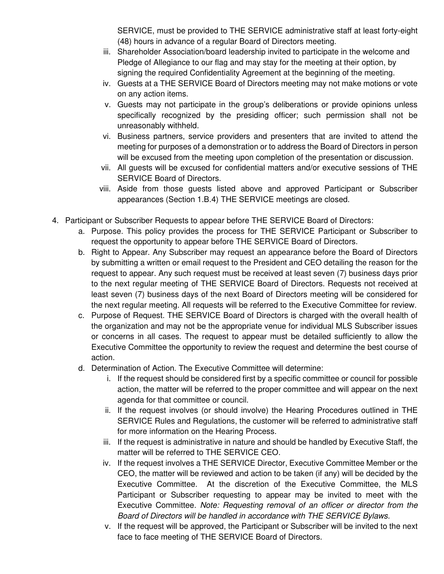SERVICE, must be provided to THE SERVICE administrative staff at least forty-eight (48) hours in advance of a regular Board of Directors meeting.

- iii. Shareholder Association/board leadership invited to participate in the welcome and Pledge of Allegiance to our flag and may stay for the meeting at their option, by signing the required Confidentiality Agreement at the beginning of the meeting.
- iv. Guests at a THE SERVICE Board of Directors meeting may not make motions or vote on any action items.
- v. Guests may not participate in the group's deliberations or provide opinions unless specifically recognized by the presiding officer; such permission shall not be unreasonably withheld.
- vi. Business partners, service providers and presenters that are invited to attend the meeting for purposes of a demonstration or to address the Board of Directors in person will be excused from the meeting upon completion of the presentation or discussion.
- vii. All guests will be excused for confidential matters and/or executive sessions of THE SERVICE Board of Directors.
- viii. Aside from those guests listed above and approved Participant or Subscriber appearances (Section 1.B.4) THE SERVICE meetings are closed.
- 4. Participant or Subscriber Requests to appear before THE SERVICE Board of Directors:
	- a. Purpose. This policy provides the process for THE SERVICE Participant or Subscriber to request the opportunity to appear before THE SERVICE Board of Directors.
	- b. Right to Appear. Any Subscriber may request an appearance before the Board of Directors by submitting a written or email request to the President and CEO detailing the reason for the request to appear. Any such request must be received at least seven (7) business days prior to the next regular meeting of THE SERVICE Board of Directors. Requests not received at least seven (7) business days of the next Board of Directors meeting will be considered for the next regular meeting. All requests will be referred to the Executive Committee for review.
	- c. Purpose of Request. THE SERVICE Board of Directors is charged with the overall health of the organization and may not be the appropriate venue for individual MLS Subscriber issues or concerns in all cases. The request to appear must be detailed sufficiently to allow the Executive Committee the opportunity to review the request and determine the best course of action.
	- d. Determination of Action. The Executive Committee will determine:
		- i. If the request should be considered first by a specific committee or council for possible action, the matter will be referred to the proper committee and will appear on the next agenda for that committee or council.
		- ii. If the request involves (or should involve) the Hearing Procedures outlined in THE SERVICE Rules and Regulations, the customer will be referred to administrative staff for more information on the Hearing Process.
		- iii. If the request is administrative in nature and should be handled by Executive Staff, the matter will be referred to THE SERVICE CEO.
		- iv. If the request involves a THE SERVICE Director, Executive Committee Member or the CEO, the matter will be reviewed and action to be taken (if any) will be decided by the Executive Committee. At the discretion of the Executive Committee, the MLS Participant or Subscriber requesting to appear may be invited to meet with the Executive Committee. *Note: Requesting removal of an officer or director from the Board of Directors will be handled in accordance with THE SERVICE Bylaws.*
		- v. If the request will be approved, the Participant or Subscriber will be invited to the next face to face meeting of THE SERVICE Board of Directors.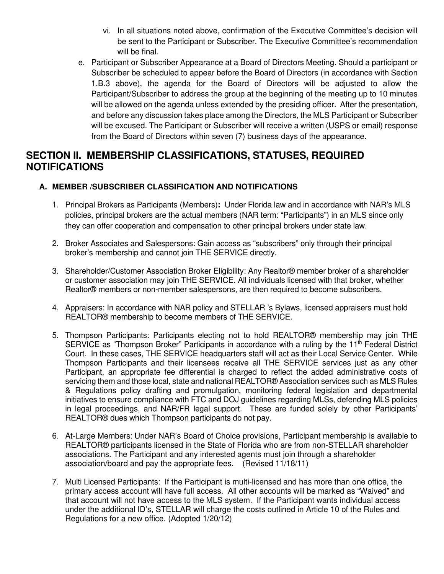- vi. In all situations noted above, confirmation of the Executive Committee's decision will be sent to the Participant or Subscriber. The Executive Committee's recommendation will be final.
- e. Participant or Subscriber Appearance at a Board of Directors Meeting. Should a participant or Subscriber be scheduled to appear before the Board of Directors (in accordance with Section 1.B.3 above), the agenda for the Board of Directors will be adjusted to allow the Participant/Subscriber to address the group at the beginning of the meeting up to 10 minutes will be allowed on the agenda unless extended by the presiding officer. After the presentation, and before any discussion takes place among the Directors, the MLS Participant or Subscriber will be excused. The Participant or Subscriber will receive a written (USPS or email) response from the Board of Directors within seven (7) business days of the appearance.

# **SECTION II. MEMBERSHIP CLASSIFICATIONS, STATUSES, REQUIRED NOTIFICATIONS**

# **A. MEMBER /SUBSCRIBER CLASSIFICATION AND NOTIFICATIONS**

- 1. Principal Brokers as Participants (Members)**:** Under Florida law and in accordance with NAR's MLS policies, principal brokers are the actual members (NAR term: "Participants") in an MLS since only they can offer cooperation and compensation to other principal brokers under state law.
- 2. Broker Associates and Salespersons: Gain access as "subscribers" only through their principal broker's membership and cannot join THE SERVICE directly.
- 3. Shareholder/Customer Association Broker Eligibility: Any Realtor® member broker of a shareholder or customer association may join THE SERVICE. All individuals licensed with that broker, whether Realtor® members or non-member salespersons, are then required to become subscribers.
- 4. Appraisers: In accordance with NAR policy and STELLAR 's Bylaws, licensed appraisers must hold REALTOR® membership to become members of THE SERVICE.
- 5. Thompson Participants: Participants electing not to hold REALTOR® membership may join THE SERVICE as "Thompson Broker" Participants in accordance with a ruling by the 11<sup>th</sup> Federal District Court. In these cases, THE SERVICE headquarters staff will act as their Local Service Center. While Thompson Participants and their licensees receive all THE SERVICE services just as any other Participant, an appropriate fee differential is charged to reflect the added administrative costs of servicing them and those local, state and national REALTOR® Association services such as MLS Rules & Regulations policy drafting and promulgation, monitoring federal legislation and departmental initiatives to ensure compliance with FTC and DOJ guidelines regarding MLSs, defending MLS policies in legal proceedings, and NAR/FR legal support. These are funded solely by other Participants' REALTOR® dues which Thompson participants do not pay.
- 6. At-Large Members: Under NAR's Board of Choice provisions, Participant membership is available to REALTOR® participants licensed in the State of Florida who are from non-STELLAR shareholder associations. The Participant and any interested agents must join through a shareholder association/board and pay the appropriate fees. (Revised 11/18/11)
- 7. Multi Licensed Participants: If the Participant is multi-licensed and has more than one office, the primary access account will have full access. All other accounts will be marked as "Waived" and that account will not have access to the MLS system. If the Participant wants individual access under the additional ID's, STELLAR will charge the costs outlined in Article 10 of the Rules and Regulations for a new office. (Adopted 1/20/12)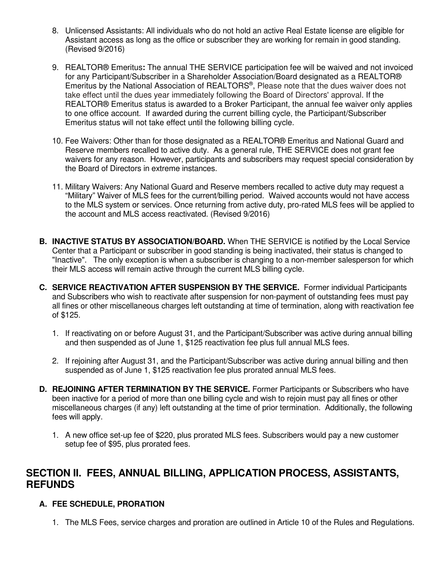- 8. Unlicensed Assistants: All individuals who do not hold an active Real Estate license are eligible for Assistant access as long as the office or subscriber they are working for remain in good standing. (Revised 9/2016)
- 9. REALTOR® Emeritus**:** The annual THE SERVICE participation fee will be waived and not invoiced for any Participant/Subscriber in a Shareholder Association/Board designated as a REALTOR® Emeritus by the National Association of REALTORS<sup>®</sup>, Please note that the dues waiver does not take effect until the dues year immediately following the Board of Directors' approval. If the REALTOR® Emeritus status is awarded to a Broker Participant, the annual fee waiver only applies to one office account. If awarded during the current billing cycle, the Participant/Subscriber Emeritus status will not take effect until the following billing cycle.
- 10. Fee Waivers: Other than for those designated as a REALTOR® Emeritus and National Guard and Reserve members recalled to active duty. As a general rule, THE SERVICE does not grant fee waivers for any reason. However, participants and subscribers may request special consideration by the Board of Directors in extreme instances.
- 11. Military Waivers: Any National Guard and Reserve members recalled to active duty may request a "Military" Waiver of MLS fees for the current/billing period. Waived accounts would not have access to the MLS system or services. Once returning from active duty, pro-rated MLS fees will be applied to the account and MLS access reactivated. (Revised 9/2016)
- **B. INACTIVE STATUS BY ASSOCIATION/BOARD.** When THE SERVICE is notified by the Local Service Center that a Participant or subscriber in good standing is being inactivated, their status is changed to "Inactive". The only exception is when a subscriber is changing to a non-member salesperson for which their MLS access will remain active through the current MLS billing cycle.
- **C. SERVICE REACTIVATION AFTER SUSPENSION BY THE SERVICE.** Former individual Participants and Subscribers who wish to reactivate after suspension for non-payment of outstanding fees must pay all fines or other miscellaneous charges left outstanding at time of termination, along with reactivation fee of \$125.
	- 1. If reactivating on or before August 31, and the Participant/Subscriber was active during annual billing and then suspended as of June 1, \$125 reactivation fee plus full annual MLS fees.
	- 2. If rejoining after August 31, and the Participant/Subscriber was active during annual billing and then suspended as of June 1, \$125 reactivation fee plus prorated annual MLS fees.
- **D. REJOINING AFTER TERMINATION BY THE SERVICE.** Former Participants or Subscribers who have been inactive for a period of more than one billing cycle and wish to rejoin must pay all fines or other miscellaneous charges (if any) left outstanding at the time of prior termination. Additionally, the following fees will apply.
	- 1. A new office set-up fee of \$220, plus prorated MLS fees. Subscribers would pay a new customer setup fee of \$95, plus prorated fees.

# **SECTION II. FEES, ANNUAL BILLING, APPLICATION PROCESS, ASSISTANTS, REFUNDS**

### **A. FEE SCHEDULE, PRORATION**

1. The MLS Fees, service charges and proration are outlined in Article 10 of the Rules and Regulations.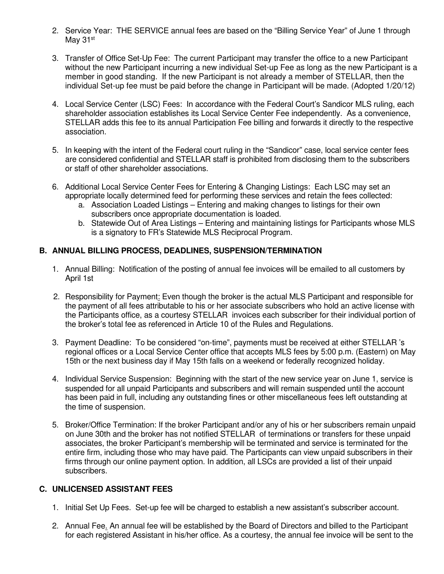- 2. Service Year: THE SERVICE annual fees are based on the "Billing Service Year" of June 1 through May 31<sup>st</sup>
- 3. Transfer of Office Set-Up Fee: The current Participant may transfer the office to a new Participant without the new Participant incurring a new individual Set-up Fee as long as the new Participant is a member in good standing. If the new Participant is not already a member of STELLAR, then the individual Set-up fee must be paid before the change in Participant will be made. (Adopted 1/20/12)
- 4. Local Service Center (LSC) Fees: In accordance with the Federal Court's Sandicor MLS ruling, each shareholder association establishes its Local Service Center Fee independently. As a convenience, STELLAR adds this fee to its annual Participation Fee billing and forwards it directly to the respective association.
- 5. In keeping with the intent of the Federal court ruling in the "Sandicor" case, local service center fees are considered confidential and STELLAR staff is prohibited from disclosing them to the subscribers or staff of other shareholder associations.
- 6. Additional Local Service Center Fees for Entering & Changing Listings: Each LSC may set an appropriate locally determined feed for performing these services and retain the fees collected:
	- a. Association Loaded Listings Entering and making changes to listings for their own subscribers once appropriate documentation is loaded.
	- b. Statewide Out of Area Listings Entering and maintaining listings for Participants whose MLS is a signatory to FR's Statewide MLS Reciprocal Program.

### **B. ANNUAL BILLING PROCESS, DEADLINES, SUSPENSION/TERMINATION**

- 1. Annual Billing: Notification of the posting of annual fee invoices will be emailed to all customers by April 1st
- 2. Responsibility for Payment: Even though the broker is the actual MLS Participant and responsible for the payment of all fees attributable to his or her associate subscribers who hold an active license with the Participants office, as a courtesy STELLAR invoices each subscriber for their individual portion of the broker's total fee as referenced in Article 10 of the Rules and Regulations.
- 3. Payment Deadline: To be considered "on-time", payments must be received at either STELLAR 's regional offices or a Local Service Center office that accepts MLS fees by 5:00 p.m. (Eastern) on May 15th or the next business day if May 15th falls on a weekend or federally recognized holiday.
- 4. Individual Service Suspension: Beginning with the start of the new service year on June 1, service is suspended for all unpaid Participants and subscribers and will remain suspended until the account has been paid in full, including any outstanding fines or other miscellaneous fees left outstanding at the time of suspension.
- 5. Broker/Office Termination: If the broker Participant and/or any of his or her subscribers remain unpaid on June 30th and the broker has not notified STELLAR of terminations or transfers for these unpaid associates, the broker Participant's membership will be terminated and service is terminated for the entire firm, including those who may have paid. The Participants can view unpaid subscribers in their firms through our online payment option. In addition, all LSCs are provided a list of their unpaid subscribers.

#### **C. UNLICENSED ASSISTANT FEES**

- 1. Initial Set Up Fees.Set-up fee will be charged to establish a new assistant's subscriber account.
- 2. Annual Fee. An annual fee will be established by the Board of Directors and billed to the Participant for each registered Assistant in his/her office. As a courtesy, the annual fee invoice will be sent to the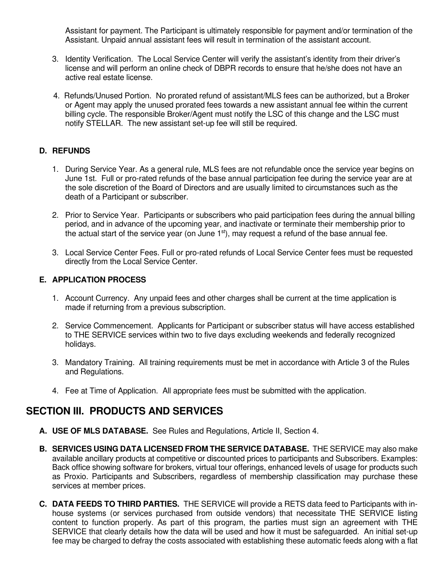Assistant for payment. The Participant is ultimately responsible for payment and/or termination of the Assistant. Unpaid annual assistant fees will result in termination of the assistant account.

- 3. Identity Verification. The Local Service Center will verify the assistant's identity from their driver's license and will perform an online check of DBPR records to ensure that he/she does not have an active real estate license.
- 4. Refunds/Unused Portion. No prorated refund of assistant/MLS fees can be authorized, but a Broker or Agent may apply the unused prorated fees towards a new assistant annual fee within the current billing cycle. The responsible Broker/Agent must notify the LSC of this change and the LSC must notify STELLAR. The new assistant set-up fee will still be required.

### **D. REFUNDS**

- 1. During Service Year. As a general rule, MLS fees are not refundable once the service year begins on June 1st. Full or pro-rated refunds of the base annual participation fee during the service year are at the sole discretion of the Board of Directors and are usually limited to circumstances such as the death of a Participant or subscriber.
- 2. Prior to Service Year. Participants or subscribers who paid participation fees during the annual billing period, and in advance of the upcoming year, and inactivate or terminate their membership prior to the actual start of the service year (on June  $1<sup>st</sup>$ ), may request a refund of the base annual fee.
- 3. Local Service Center Fees. Full or pro-rated refunds of Local Service Center fees must be requested directly from the Local Service Center.

#### **E. APPLICATION PROCESS**

- 1. Account Currency. Any unpaid fees and other charges shall be current at the time application is made if returning from a previous subscription.
- 2. Service Commencement. Applicants for Participant or subscriber status will have access established to THE SERVICE services within two to five days excluding weekends and federally recognized holidays.
- 3. Mandatory Training. All training requirements must be met in accordance with Article 3 of the Rules and Regulations.
- 4. Fee at Time of Application. All appropriate fees must be submitted with the application.

# **SECTION III. PRODUCTS AND SERVICES**

- **A. USE OF MLS DATABASE.** See Rules and Regulations, Article II, Section 4.
- **B. SERVICES USING DATA LICENSED FROM THE SERVICE DATABASE.** THE SERVICE may also make available ancillary products at competitive or discounted prices to participants and Subscribers. Examples: Back office showing software for brokers, virtual tour offerings, enhanced levels of usage for products such as Proxio. Participants and Subscribers, regardless of membership classification may purchase these services at member prices.
- **C. DATA FEEDS TO THIRD PARTIES.** THE SERVICE will provide a RETS data feed to Participants with inhouse systems (or services purchased from outside vendors) that necessitate THE SERVICE listing content to function properly. As part of this program, the parties must sign an agreement with THE SERVICE that clearly details how the data will be used and how it must be safeguarded. An initial set-up fee may be charged to defray the costs associated with establishing these automatic feeds along with a flat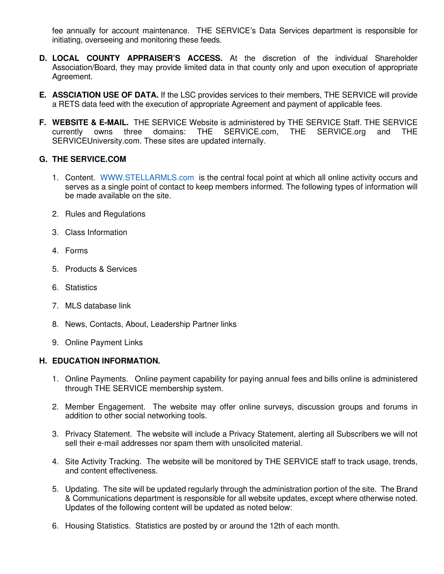fee annually for account maintenance. THE SERVICE's Data Services department is responsible for initiating, overseeing and monitoring these feeds.

- **D. LOCAL COUNTY APPRAISER'S ACCESS.** At the discretion of the individual Shareholder Association/Board, they may provide limited data in that county only and upon execution of appropriate Agreement.
- **E. ASSCIATION USE OF DATA.** If the LSC provides services to their members, THE SERVICE will provide a RETS data feed with the execution of appropriate Agreement and payment of applicable fees.
- **F. WEBSITE & E-MAIL.** THE SERVICE Website is administered by THE SERVICE Staff. THE SERVICE currently owns three domains: THE SERVICE.com, THE SERVICE.org and THE currently owns three domains: THE SERVICE.com, SERVICEUniversity.com. These sites are updated internally.

#### **G. THE SERVICE.COM**

- 1. Content. WWW.STELLARMLS.com is the central focal point at which all online activity occurs and serves as a single point of contact to keep members informed. The following types of information will be made available on the site.
- 2. Rules and Regulations
- 3. Class Information
- 4. Forms
- 5. Products & Services
- 6. Statistics
- 7. MLS database link
- 8. News, Contacts, About, Leadership Partner links
- 9. Online Payment Links

#### **H. EDUCATION INFORMATION.**

- 1. Online Payments. Online payment capability for paying annual fees and bills online is administered through THE SERVICE membership system.
- 2. Member Engagement. The website may offer online surveys, discussion groups and forums in addition to other social networking tools.
- 3. Privacy Statement. The website will include a Privacy Statement, alerting all Subscribers we will not sell their e-mail addresses nor spam them with unsolicited material.
- 4. Site Activity Tracking. The website will be monitored by THE SERVICE staff to track usage, trends, and content effectiveness.
- 5. Updating. The site will be updated regularly through the administration portion of the site. The Brand & Communications department is responsible for all website updates, except where otherwise noted. Updates of the following content will be updated as noted below:
- 6. Housing Statistics. Statistics are posted by or around the 12th of each month.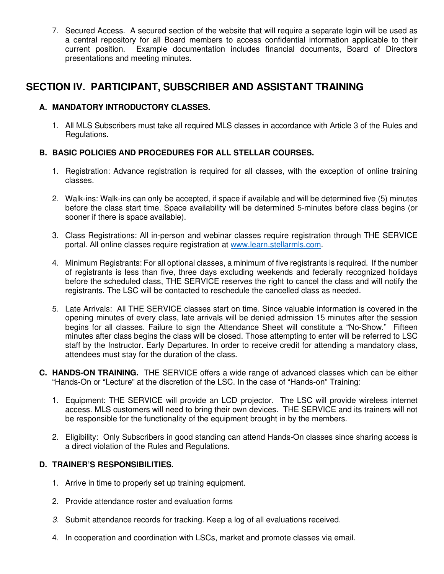7. Secured Access. A secured section of the website that will require a separate login will be used as a central repository for all Board members to access confidential information applicable to their current position. Example documentation includes financial documents, Board of Directors presentations and meeting minutes.

# **SECTION IV. PARTICIPANT, SUBSCRIBER AND ASSISTANT TRAINING**

### **A. MANDATORY INTRODUCTORY CLASSES.**

1. All MLS Subscribers must take all required MLS classes in accordance with Article 3 of the Rules and Regulations.

### **B. BASIC POLICIES AND PROCEDURES FOR ALL STELLAR COURSES.**

- 1. Registration: Advance registration is required for all classes, with the exception of online training classes.
- 2. Walk-ins: Walk-ins can only be accepted, if space if available and will be determined five (5) minutes before the class start time. Space availability will be determined 5-minutes before class begins (or sooner if there is space available).
- 3. Class Registrations: All in-person and webinar classes require registration through THE SERVICE portal. All online classes require registration at www.learn.stellarmls.com.
- 4. Minimum Registrants: For all optional classes, a minimum of five registrants is required. If the number of registrants is less than five, three days excluding weekends and federally recognized holidays before the scheduled class, THE SERVICE reserves the right to cancel the class and will notify the registrants. The LSC will be contacted to reschedule the cancelled class as needed.
- 5. Late Arrivals: All THE SERVICE classes start on time. Since valuable information is covered in the opening minutes of every class, late arrivals will be denied admission 15 minutes after the session begins for all classes. Failure to sign the Attendance Sheet will constitute a "No-Show." Fifteen minutes after class begins the class will be closed. Those attempting to enter will be referred to LSC staff by the Instructor. Early Departures. In order to receive credit for attending a mandatory class, attendees must stay for the duration of the class.
- **C. HANDS-ON TRAINING.** THE SERVICE offers a wide range of advanced classes which can be either "Hands-On or "Lecture" at the discretion of the LSC. In the case of "Hands-on" Training:
	- 1. Equipment: THE SERVICE will provide an LCD projector. The LSC will provide wireless internet access. MLS customers will need to bring their own devices. THE SERVICE and its trainers will not be responsible for the functionality of the equipment brought in by the members.
	- 2. Eligibility: Only Subscribers in good standing can attend Hands-On classes since sharing access is a direct violation of the Rules and Regulations.

### **D. TRAINER'S RESPONSIBILITIES.**

- 1. Arrive in time to properly set up training equipment.
- 2. Provide attendance roster and evaluation forms
- *3.* Submit attendance records for tracking. Keep a log of all evaluations received.
- 4. In cooperation and coordination with LSCs, market and promote classes via email.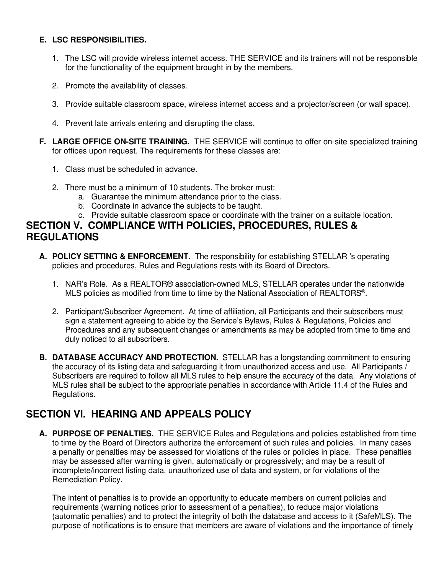### **E. LSC RESPONSIBILITIES.**

- 1. The LSC will provide wireless internet access. THE SERVICE and its trainers will not be responsible for the functionality of the equipment brought in by the members.
- 2. Promote the availability of classes.
- 3. Provide suitable classroom space, wireless internet access and a projector/screen (or wall space).
- 4. Prevent late arrivals entering and disrupting the class.
- **F. LARGE OFFICE ON-SITE TRAINING.** THE SERVICE will continue to offer on-site specialized training for offices upon request. The requirements for these classes are:
	- 1. Class must be scheduled in advance.
	- 2. There must be a minimum of 10 students. The broker must:
		- a. Guarantee the minimum attendance prior to the class.
		- b. Coordinate in advance the subjects to be taught.
		- c. Provide suitable classroom space or coordinate with the trainer on a suitable location.

# **SECTION V. COMPLIANCE WITH POLICIES, PROCEDURES, RULES & REGULATIONS**

- **A. POLICY SETTING & ENFORCEMENT.** The responsibility for establishing STELLAR 's operating policies and procedures, Rules and Regulations rests with its Board of Directors.
	- 1. NAR's Role. As a REALTOR® association-owned MLS, STELLAR operates under the nationwide MLS policies as modified from time to time by the National Association of REALTORS® .
	- 2. Participant/Subscriber Agreement. At time of affiliation, all Participants and their subscribers must sign a statement agreeing to abide by the Service's Bylaws, Rules & Regulations, Policies and Procedures and any subsequent changes or amendments as may be adopted from time to time and duly noticed to all subscribers.
- **B. DATABASE ACCURACY AND PROTECTION.** STELLAR has a longstanding commitment to ensuring the accuracy of its listing data and safeguarding it from unauthorized access and use. All Participants / Subscribers are required to follow all MLS rules to help ensure the accuracy of the data. Any violations of MLS rules shall be subject to the appropriate penalties in accordance with Article 11.4 of the Rules and Regulations.

# **SECTION VI. HEARING AND APPEALS POLICY**

**A. PURPOSE OF PENALTIES.** THE SERVICE Rules and Regulations and policies established from time to time by the Board of Directors authorize the enforcement of such rules and policies. In many cases a penalty or penalties may be assessed for violations of the rules or policies in place. These penalties may be assessed after warning is given, automatically or progressively; and may be a result of incomplete/incorrect listing data, unauthorized use of data and system, or for violations of the Remediation Policy.

The intent of penalties is to provide an opportunity to educate members on current policies and requirements (warning notices prior to assessment of a penalties), to reduce major violations (automatic penalties) and to protect the integrity of both the database and access to it (SafeMLS). The purpose of notifications is to ensure that members are aware of violations and the importance of timely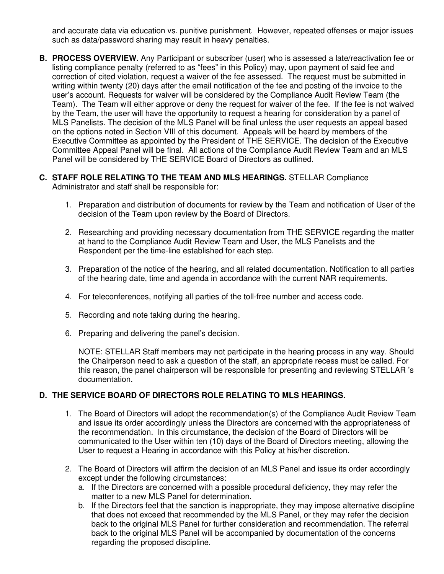and accurate data via education vs. punitive punishment. However, repeated offenses or major issues such as data/password sharing may result in heavy penalties.

**B. PROCESS OVERVIEW.** Any Participant or subscriber (user) who is assessed a late/reactivation fee or listing compliance penalty (referred to as "fees" in this Policy) may, upon payment of said fee and correction of cited violation, request a waiver of the fee assessed. The request must be submitted in writing within twenty (20) days after the email notification of the fee and posting of the invoice to the user's account. Requests for waiver will be considered by the Compliance Audit Review Team (the Team). The Team will either approve or deny the request for waiver of the fee. If the fee is not waived by the Team, the user will have the opportunity to request a hearing for consideration by a panel of MLS Panelists. The decision of the MLS Panel will be final unless the user requests an appeal based on the options noted in Section VIII of this document. Appeals will be heard by members of the Executive Committee as appointed by the President of THE SERVICE. The decision of the Executive Committee Appeal Panel will be final. All actions of the Compliance Audit Review Team and an MLS Panel will be considered by THE SERVICE Board of Directors as outlined.

#### **C. STAFF ROLE RELATING TO THE TEAM AND MLS HEARINGS.** STELLAR Compliance Administrator and staff shall be responsible for:

- 1. Preparation and distribution of documents for review by the Team and notification of User of the decision of the Team upon review by the Board of Directors.
- 2. Researching and providing necessary documentation from THE SERVICE regarding the matter at hand to the Compliance Audit Review Team and User, the MLS Panelists and the Respondent per the time-line established for each step.
- 3. Preparation of the notice of the hearing, and all related documentation. Notification to all parties of the hearing date, time and agenda in accordance with the current NAR requirements.
- 4. For teleconferences, notifying all parties of the toll-free number and access code.
- 5. Recording and note taking during the hearing.
- 6. Preparing and delivering the panel's decision.

NOTE: STELLAR Staff members may not participate in the hearing process in any way. Should the Chairperson need to ask a question of the staff, an appropriate recess must be called. For this reason, the panel chairperson will be responsible for presenting and reviewing STELLAR 's documentation.

### **D. THE SERVICE BOARD OF DIRECTORS ROLE RELATING TO MLS HEARINGS.**

- 1. The Board of Directors will adopt the recommendation(s) of the Compliance Audit Review Team and issue its order accordingly unless the Directors are concerned with the appropriateness of the recommendation. In this circumstance, the decision of the Board of Directors will be communicated to the User within ten (10) days of the Board of Directors meeting, allowing the User to request a Hearing in accordance with this Policy at his/her discretion.
- 2. The Board of Directors will affirm the decision of an MLS Panel and issue its order accordingly except under the following circumstances:
	- a. If the Directors are concerned with a possible procedural deficiency, they may refer the matter to a new MLS Panel for determination.
	- b. If the Directors feel that the sanction is inappropriate, they may impose alternative discipline that does not exceed that recommended by the MLS Panel, or they may refer the decision back to the original MLS Panel for further consideration and recommendation. The referral back to the original MLS Panel will be accompanied by documentation of the concerns regarding the proposed discipline.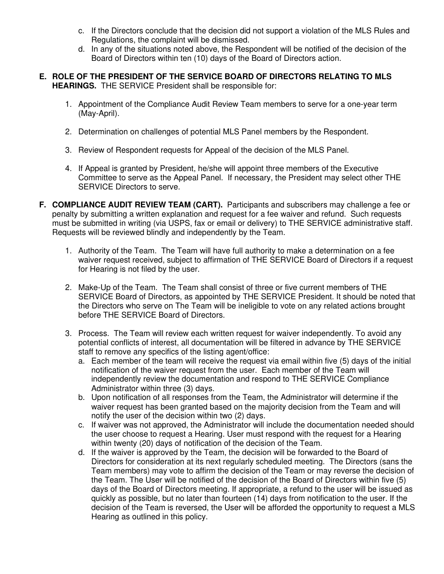- c. If the Directors conclude that the decision did not support a violation of the MLS Rules and Regulations, the complaint will be dismissed.
- d. In any of the situations noted above, the Respondent will be notified of the decision of the Board of Directors within ten (10) days of the Board of Directors action.
- **E. ROLE OF THE PRESIDENT OF THE SERVICE BOARD OF DIRECTORS RELATING TO MLS HEARINGS.** THE SERVICE President shall be responsible for:
	- 1. Appointment of the Compliance Audit Review Team members to serve for a one-year term (May-April).
	- 2. Determination on challenges of potential MLS Panel members by the Respondent.
	- 3. Review of Respondent requests for Appeal of the decision of the MLS Panel.
	- 4. If Appeal is granted by President, he/she will appoint three members of the Executive Committee to serve as the Appeal Panel. If necessary, the President may select other THE SERVICE Directors to serve.
- **F. COMPLIANCE AUDIT REVIEW TEAM (CART).** Participants and subscribers may challenge a fee or penalty by submitting a written explanation and request for a fee waiver and refund. Such requests must be submitted in writing (via USPS, fax or email or delivery) to THE SERVICE administrative staff. Requests will be reviewed blindly and independently by the Team.
	- 1. Authority of the Team. The Team will have full authority to make a determination on a fee waiver request received, subject to affirmation of THE SERVICE Board of Directors if a request for Hearing is not filed by the user.
	- 2. Make-Up of the Team. The Team shall consist of three or five current members of THE SERVICE Board of Directors, as appointed by THE SERVICE President. It should be noted that the Directors who serve on The Team will be ineligible to vote on any related actions brought before THE SERVICE Board of Directors.
	- 3. Process. The Team will review each written request for waiver independently. To avoid any potential conflicts of interest, all documentation will be filtered in advance by THE SERVICE staff to remove any specifics of the listing agent/office:
		- a. Each member of the team will receive the request via email within five (5) days of the initial notification of the waiver request from the user. Each member of the Team will independently review the documentation and respond to THE SERVICE Compliance Administrator within three (3) days.
		- b. Upon notification of all responses from the Team, the Administrator will determine if the waiver request has been granted based on the majority decision from the Team and will notify the user of the decision within two (2) days.
		- c. If waiver was not approved, the Administrator will include the documentation needed should the user choose to request a Hearing. User must respond with the request for a Hearing within twenty (20) days of notification of the decision of the Team.
		- d. If the waiver is approved by the Team, the decision will be forwarded to the Board of Directors for consideration at its next regularly scheduled meeting. The Directors (sans the Team members) may vote to affirm the decision of the Team or may reverse the decision of the Team. The User will be notified of the decision of the Board of Directors within five (5) days of the Board of Directors meeting. If appropriate, a refund to the user will be issued as quickly as possible, but no later than fourteen (14) days from notification to the user. If the decision of the Team is reversed, the User will be afforded the opportunity to request a MLS Hearing as outlined in this policy.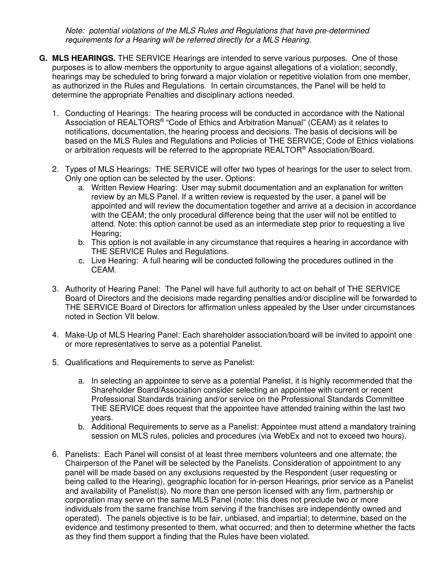*Note: potential violations of the MLS Rules and Regulations that have pre-determined requirements for a Hearing will be referred directly for a MLS Hearing.* 

- **G. MLS HEARINGS.** THE SERVICE Hearings are intended to serve various purposes. One of those purposes is to allow members the opportunity to argue against allegations of a violation; secondly, hearings may be scheduled to bring forward a major violation or repetitive violation from one member, as authorized in the Rules and Regulations. In certain circumstances, the Panel will be held to determine the appropriate Penalties and disciplinary actions needed.
	- 1. Conducting of Hearings:The hearing process will be conducted in accordance with the National Association of REALTORS® "Code of Ethics and Arbitration Manual" (CEAM) as it relates to notifications, documentation, the hearing process and decisions. The basis of decisions will be based on the MLS Rules and Regulations and Policies of THE SERVICE; Code of Ethics violations or arbitration requests will be referred to the appropriate REALTOR® Association/Board.
	- 2. Types of MLS Hearings: THE SERVICE will offer two types of hearings for the user to select from. Only one option can be selected by the user. Options:
		- a. Written Review Hearing: User may submit documentation and an explanation for written review by an MLS Panel. If a written review is requested by the user, a panel will be appointed and will review the documentation together and arrive at a decision in accordance with the CEAM; the only procedural difference being that the user will not be entitled to attend. Note: this option cannot be used as an intermediate step prior to requesting a live Hearing:
		- b. This option is not available in any circumstance that requires a hearing in accordance with THE SERVICE Rules and Regulations.
		- c. Live Hearing: A full hearing will be conducted following the procedures outlined in the CEAM.
	- 3. Authority of Hearing Panel: The Panel will have full authority to act on behalf of THE SERVICE Board of Directors and the decisions made regarding penalties and/or discipline will be forwarded to THE SERVICE Board of Directors for affirmation unless appealed by the User under circumstances noted in Section VII below.
	- 4. Make-Up of MLS Hearing Panel: Each shareholder association/board will be invited to appoint one or more representatives to serve as a potential Panelist.
	- 5. Qualifications and Requirements to serve as Panelist:
		- a. In selecting an appointee to serve as a potential Panelist, it is highly recommended that the Shareholder Board/Association consider selecting an appointee with current or recent Professional Standards training and/or service on the Professional Standards Committee THE SERVICE does request that the appointee have attended training within the last two years.
		- b. Additional Requirements to serve as a Panelist: Appointee must attend a mandatory training session on MLS rules, policies and procedures (via WebEx and not to exceed two hours).
	- 6. Panelists: Each Panel will consist of at least three members volunteers and one alternate; the Chairperson of the Panel will be selected by the Panelists. Consideration of appointment to any panel will be made based on any exclusions requested by the Respondent (user requesting or being called to the Hearing), geographic location for in-person Hearings, prior service as a Panelist and availability of Panelist(s). No more than one person licensed with any firm, partnership or corporation may serve on the same MLS Panel (note: this does not preclude two or more individuals from the same franchise from serving if the franchises are independently owned and operated). The panels objective is to be fair, unbiased, and impartial; to determine, based on the evidence and testimony presented to them, what occurred; and then to determine whether the facts as they find them support a finding that the Rules have been violated.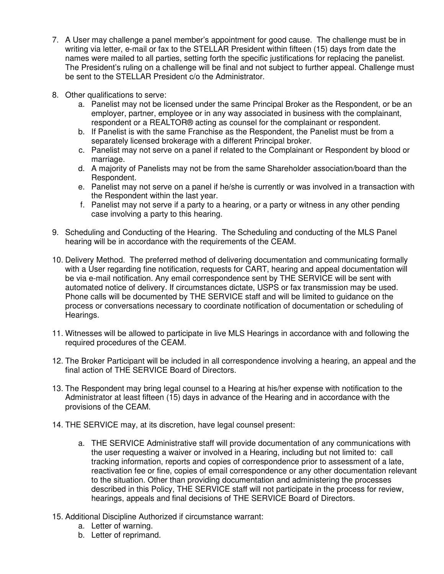- 7. A User may challenge a panel member's appointment for good cause. The challenge must be in writing via letter, e-mail or fax to the STELLAR President within fifteen (15) days from date the names were mailed to all parties, setting forth the specific justifications for replacing the panelist. The President's ruling on a challenge will be final and not subject to further appeal. Challenge must be sent to the STELLAR President c/o the Administrator.
- 8. Other qualifications to serve:
	- a. Panelist may not be licensed under the same Principal Broker as the Respondent, or be an employer, partner, employee or in any way associated in business with the complainant, respondent or a REALTOR® acting as counsel for the complainant or respondent.
	- b. If Panelist is with the same Franchise as the Respondent, the Panelist must be from a separately licensed brokerage with a different Principal broker.
	- c. Panelist may not serve on a panel if related to the Complainant or Respondent by blood or marriage.
	- d. A majority of Panelists may not be from the same Shareholder association/board than the Respondent.
	- e. Panelist may not serve on a panel if he/she is currently or was involved in a transaction with the Respondent within the last year.
	- f. Panelist may not serve if a party to a hearing, or a party or witness in any other pending case involving a party to this hearing.
- 9. Scheduling and Conducting of the Hearing. The Scheduling and conducting of the MLS Panel hearing will be in accordance with the requirements of the CEAM.
- 10. Delivery Method. The preferred method of delivering documentation and communicating formally with a User regarding fine notification, requests for CART, hearing and appeal documentation will be via e-mail notification. Any email correspondence sent by THE SERVICE will be sent with automated notice of delivery. If circumstances dictate, USPS or fax transmission may be used. Phone calls will be documented by THE SERVICE staff and will be limited to guidance on the process or conversations necessary to coordinate notification of documentation or scheduling of Hearings.
- 11. Witnesses will be allowed to participate in live MLS Hearings in accordance with and following the required procedures of the CEAM.
- 12. The Broker Participant will be included in all correspondence involving a hearing, an appeal and the final action of THE SERVICE Board of Directors.
- 13. The Respondent may bring legal counsel to a Hearing at his/her expense with notification to the Administrator at least fifteen (15) days in advance of the Hearing and in accordance with the provisions of the CEAM.
- 14. THE SERVICE may, at its discretion, have legal counsel present:
	- a. THE SERVICE Administrative staff will provide documentation of any communications with the user requesting a waiver or involved in a Hearing, including but not limited to: call tracking information, reports and copies of correspondence prior to assessment of a late, reactivation fee or fine, copies of email correspondence or any other documentation relevant to the situation. Other than providing documentation and administering the processes described in this Policy, THE SERVICE staff will not participate in the process for review, hearings, appeals and final decisions of THE SERVICE Board of Directors.
- 15. Additional Discipline Authorized if circumstance warrant:
	- a. Letter of warning.
	- b. Letter of reprimand.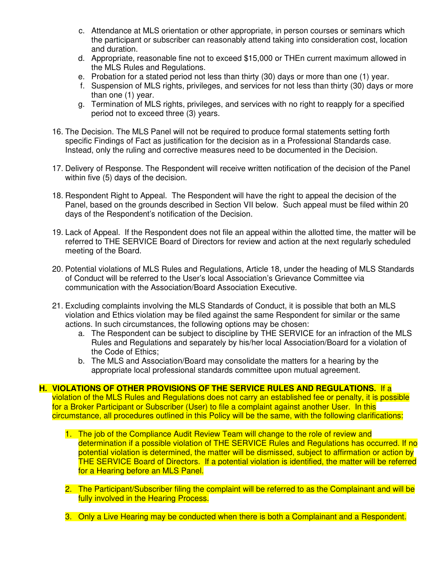- c. Attendance at MLS orientation or other appropriate, in person courses or seminars which the participant or subscriber can reasonably attend taking into consideration cost, location and duration.
- d. Appropriate, reasonable fine not to exceed \$15,000 or THEn current maximum allowed in the MLS Rules and Regulations.
- e. Probation for a stated period not less than thirty (30) days or more than one (1) year.
- f. Suspension of MLS rights, privileges, and services for not less than thirty (30) days or more than one (1) year.
- g. Termination of MLS rights, privileges, and services with no right to reapply for a specified period not to exceed three (3) years.
- 16. The Decision. The MLS Panel will not be required to produce formal statements setting forth specific Findings of Fact as justification for the decision as in a Professional Standards case. Instead, only the ruling and corrective measures need to be documented in the Decision.
- 17. Delivery of Response. The Respondent will receive written notification of the decision of the Panel within five (5) days of the decision.
- 18. Respondent Right to Appeal. The Respondent will have the right to appeal the decision of the Panel, based on the grounds described in Section VII below. Such appeal must be filed within 20 days of the Respondent's notification of the Decision.
- 19. Lack of Appeal. If the Respondent does not file an appeal within the allotted time, the matter will be referred to THE SERVICE Board of Directors for review and action at the next regularly scheduled meeting of the Board.
- 20. Potential violations of MLS Rules and Regulations, Article 18, under the heading of MLS Standards of Conduct will be referred to the User's local Association's Grievance Committee via communication with the Association/Board Association Executive.
- 21. Excluding complaints involving the MLS Standards of Conduct, it is possible that both an MLS violation and Ethics violation may be filed against the same Respondent for similar or the same actions. In such circumstances, the following options may be chosen:
	- a. The Respondent can be subject to discipline by THE SERVICE for an infraction of the MLS Rules and Regulations and separately by his/her local Association/Board for a violation of the Code of Ethics;
	- b. The MLS and Association/Board may consolidate the matters for a hearing by the appropriate local professional standards committee upon mutual agreement.

#### **H. VIOLATIONS OF OTHER PROVISIONS OF THE SERVICE RULES AND REGULATIONS.** If a violation of the MLS Rules and Regulations does not carry an established fee or penalty, it is possible for a Broker Participant or Subscriber (User) to file a complaint against another User. In this circumstance, all procedures outlined in this Policy will be the same, with the following clarifications:

- 1. The job of the Compliance Audit Review Team will change to the role of review and determination if a possible violation of THE SERVICE Rules and Regulations has occurred. If no potential violation is determined, the matter will be dismissed, subject to affirmation or action by THE SERVICE Board of Directors. If a potential violation is identified, the matter will be referred for a Hearing before an MLS Panel.
- 2. The Participant/Subscriber filing the complaint will be referred to as the Complainant and will be fully involved in the Hearing Process.
- 3. Only a Live Hearing may be conducted when there is both a Complainant and a Respondent.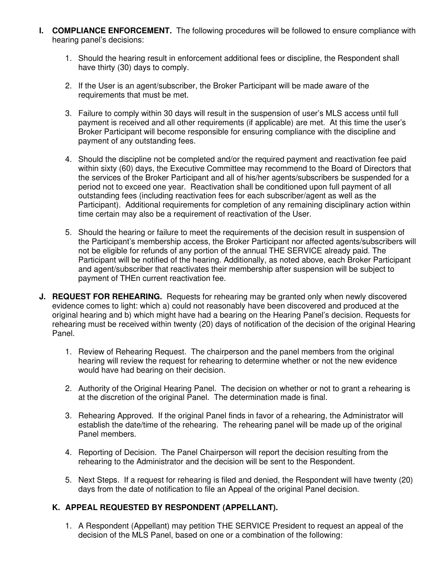- **I. COMPLIANCE ENFORCEMENT.** The following procedures will be followed to ensure compliance with hearing panel's decisions:
	- 1. Should the hearing result in enforcement additional fees or discipline, the Respondent shall have thirty (30) days to comply.
	- 2. If the User is an agent/subscriber, the Broker Participant will be made aware of the requirements that must be met.
	- 3. Failure to comply within 30 days will result in the suspension of user's MLS access until full payment is received and all other requirements (if applicable) are met. At this time the user's Broker Participant will become responsible for ensuring compliance with the discipline and payment of any outstanding fees.
	- 4. Should the discipline not be completed and/or the required payment and reactivation fee paid within sixty (60) days, the Executive Committee may recommend to the Board of Directors that the services of the Broker Participant and all of his/her agents/subscribers be suspended for a period not to exceed one year. Reactivation shall be conditioned upon full payment of all outstanding fees (including reactivation fees for each subscriber/agent as well as the Participant). Additional requirements for completion of any remaining disciplinary action within time certain may also be a requirement of reactivation of the User.
	- 5. Should the hearing or failure to meet the requirements of the decision result in suspension of the Participant's membership access, the Broker Participant nor affected agents/subscribers will not be eligible for refunds of any portion of the annual THE SERVICE already paid. The Participant will be notified of the hearing. Additionally, as noted above, each Broker Participant and agent/subscriber that reactivates their membership after suspension will be subject to payment of THEn current reactivation fee.
- **J. REQUEST FOR REHEARING.** Requests for rehearing may be granted only when newly discovered evidence comes to light: which a) could not reasonably have been discovered and produced at the original hearing and b) which might have had a bearing on the Hearing Panel's decision. Requests for rehearing must be received within twenty (20) days of notification of the decision of the original Hearing Panel.
	- 1. Review of Rehearing Request. The chairperson and the panel members from the original hearing will review the request for rehearing to determine whether or not the new evidence would have had bearing on their decision.
	- 2. Authority of the Original Hearing Panel. The decision on whether or not to grant a rehearing is at the discretion of the original Panel. The determination made is final.
	- 3. Rehearing Approved. If the original Panel finds in favor of a rehearing, the Administrator will establish the date/time of the rehearing. The rehearing panel will be made up of the original Panel members.
	- 4. Reporting of Decision. The Panel Chairperson will report the decision resulting from the rehearing to the Administrator and the decision will be sent to the Respondent.
	- 5. Next Steps. If a request for rehearing is filed and denied, the Respondent will have twenty (20) days from the date of notification to file an Appeal of the original Panel decision.

#### **K. APPEAL REQUESTED BY RESPONDENT (APPELLANT).**

1. A Respondent (Appellant) may petition THE SERVICE President to request an appeal of the decision of the MLS Panel, based on one or a combination of the following: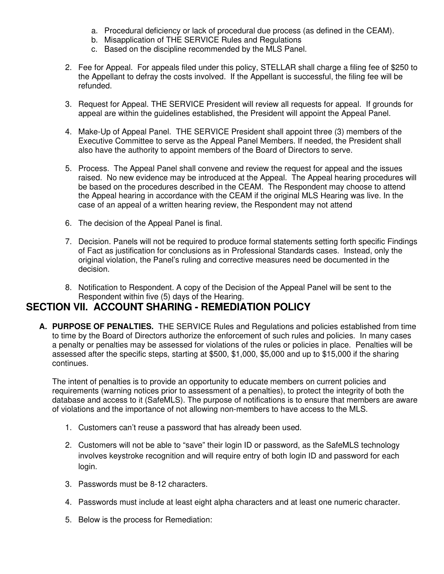- a. Procedural deficiency or lack of procedural due process (as defined in the CEAM).
- b. Misapplication of THE SERVICE Rules and Regulations
- c. Based on the discipline recommended by the MLS Panel.
- 2. Fee for Appeal. For appeals filed under this policy, STELLAR shall charge a filing fee of \$250 to the Appellant to defray the costs involved. If the Appellant is successful, the filing fee will be refunded.
- 3. Request for Appeal. THE SERVICE President will review all requests for appeal. If grounds for appeal are within the guidelines established, the President will appoint the Appeal Panel.
- 4. Make-Up of Appeal Panel. THE SERVICE President shall appoint three (3) members of the Executive Committee to serve as the Appeal Panel Members. If needed, the President shall also have the authority to appoint members of the Board of Directors to serve.
- 5. Process. The Appeal Panel shall convene and review the request for appeal and the issues raised. No new evidence may be introduced at the Appeal. The Appeal hearing procedures will be based on the procedures described in the CEAM. The Respondent may choose to attend the Appeal hearing in accordance with the CEAM if the original MLS Hearing was live. In the case of an appeal of a written hearing review, the Respondent may not attend
- 6. The decision of the Appeal Panel is final.
- 7. Decision. Panels will not be required to produce formal statements setting forth specific Findings of Fact as justification for conclusions as in Professional Standards cases. Instead, only the original violation, the Panel's ruling and corrective measures need be documented in the decision.
- 8. Notification to Respondent. A copy of the Decision of the Appeal Panel will be sent to the Respondent within five (5) days of the Hearing.

# **SECTION VII. ACCOUNT SHARING - REMEDIATION POLICY**

**A. PURPOSE OF PENALTIES.** THE SERVICE Rules and Regulations and policies established from time to time by the Board of Directors authorize the enforcement of such rules and policies. In many cases a penalty or penalties may be assessed for violations of the rules or policies in place. Penalties will be assessed after the specific steps, starting at \$500, \$1,000, \$5,000 and up to \$15,000 if the sharing continues.

The intent of penalties is to provide an opportunity to educate members on current policies and requirements (warning notices prior to assessment of a penalties), to protect the integrity of both the database and access to it (SafeMLS). The purpose of notifications is to ensure that members are aware of violations and the importance of not allowing non-members to have access to the MLS.

- 1. Customers can't reuse a password that has already been used.
- 2. Customers will not be able to "save" their login ID or password, as the SafeMLS technology involves keystroke recognition and will require entry of both login ID and password for each login.
- 3. Passwords must be 8-12 characters.
- 4. Passwords must include at least eight alpha characters and at least one numeric character.
- 5. Below is the process for Remediation: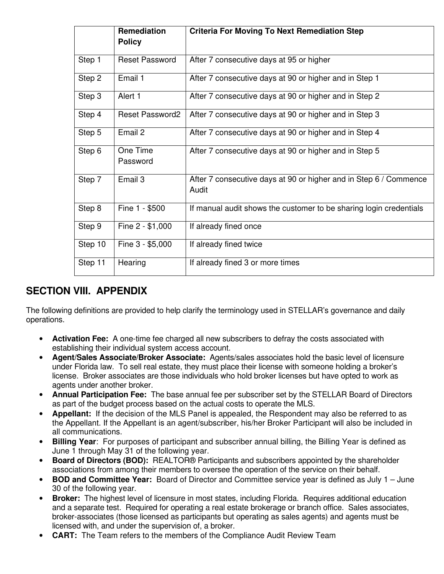|         | <b>Remediation</b><br><b>Policy</b> | <b>Criteria For Moving To Next Remediation Step</b>                        |
|---------|-------------------------------------|----------------------------------------------------------------------------|
| Step 1  | <b>Reset Password</b>               | After 7 consecutive days at 95 or higher                                   |
| Step 2  | Email 1                             | After 7 consecutive days at 90 or higher and in Step 1                     |
| Step 3  | Alert 1                             | After 7 consecutive days at 90 or higher and in Step 2                     |
| Step 4  | <b>Reset Password2</b>              | After 7 consecutive days at 90 or higher and in Step 3                     |
| Step 5  | Email 2                             | After 7 consecutive days at 90 or higher and in Step 4                     |
| Step 6  | One Time<br>Password                | After 7 consecutive days at 90 or higher and in Step 5                     |
| Step 7  | Email 3                             | After 7 consecutive days at 90 or higher and in Step 6 / Commence<br>Audit |
| Step 8  | Fine 1 - \$500                      | If manual audit shows the customer to be sharing login credentials         |
| Step 9  | Fine 2 - \$1,000                    | If already fined once                                                      |
| Step 10 | Fine 3 - \$5,000                    | If already fined twice                                                     |
| Step 11 | Hearing                             | If already fined 3 or more times                                           |

# **SECTION VIII. APPENDIX**

The following definitions are provided to help clarify the terminology used in STELLAR's governance and daily operations.

- **Activation Fee:** A one-time fee charged all new subscribers to defray the costs associated with establishing their individual system access account.
- **Agent/Sales Associate/Broker Associate:** Agents/sales associates hold the basic level of licensure under Florida law. To sell real estate, they must place their license with someone holding a broker's license. Broker associates are those individuals who hold broker licenses but have opted to work as agents under another broker.
- **Annual Participation Fee:** The base annual fee per subscriber set by the STELLAR Board of Directors as part of the budget process based on the actual costs to operate the MLS.
- **Appellant:** If the decision of the MLS Panel is appealed, the Respondent may also be referred to as the Appellant. If the Appellant is an agent/subscriber, his/her Broker Participant will also be included in all communications.
- **Billing Year**: For purposes of participant and subscriber annual billing, the Billing Year is defined as June 1 through May 31 of the following year.
- **Board of Directors (BOD):** REALTOR® Participants and subscribers appointed by the shareholder associations from among their members to oversee the operation of the service on their behalf.
- **BOD and Committee Year:** Board of Director and Committee service year is defined as July 1 June 30 of the following year.
- **Broker:** The highest level of licensure in most states, including Florida. Requires additional education and a separate test. Required for operating a real estate brokerage or branch office. Sales associates, broker-associates (those licensed as participants but operating as sales agents) and agents must be licensed with, and under the supervision of, a broker.
- **CART:** The Team refers to the members of the Compliance Audit Review Team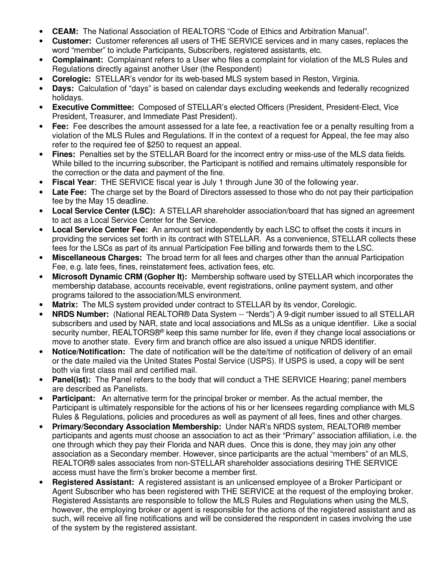- **CEAM:** The National Association of REALTORS "Code of Ethics and Arbitration Manual".
- **Customer:** Customer references all users of THE SERVICE services and in many cases, replaces the word "member" to include Participants, Subscribers, registered assistants, etc.
- **Complainant:** Complainant refers to a User who files a complaint for violation of the MLS Rules and Regulations directly against another User (the Respondent)
- **Corelogic:** STELLAR's vendor for its web-based MLS system based in Reston, Virginia.
- **Days:** Calculation of "days" is based on calendar days excluding weekends and federally recognized holidays.
- **Executive Committee:** Composed of STELLAR's elected Officers (President, President-Elect, Vice President, Treasurer, and Immediate Past President).
- **Fee:** Fee describes the amount assessed for a late fee, a reactivation fee or a penalty resulting from a violation of the MLS Rules and Regulations. If in the context of a request for Appeal, the fee may also refer to the required fee of \$250 to request an appeal.
- **Fines:** Penalties set by the STELLAR Board for the incorrect entry or miss-use of the MLS data fields. While billed to the incurring subscriber, the Participant is notified and remains ultimately responsible for the correction or the data and payment of the fine.
- **Fiscal Year:** THE SERVICE fiscal year is July 1 through June 30 of the following year.
- **Late Fee:** The charge set by the Board of Directors assessed to those who do not pay their participation fee by the May 15 deadline.
- **Local Service Center (LSC):** A STELLAR shareholder association/board that has signed an agreement to act as a Local Service Center for the Service.
- **Local Service Center Fee:** An amount set independently by each LSC to offset the costs it incurs in providing the services set forth in its contract with STELLAR. As a convenience, STELLAR collects these fees for the LSCs as part of its annual Participation Fee billing and forwards them to the LSC.
- **Miscellaneous Charges:** The broad term for all fees and charges other than the annual Participation Fee, e.g. late fees, fines, reinstatement fees, activation fees, etc.
- **Microsoft Dynamic CRM (Gopher It):** Membership software used by STELLAR which incorporates the membership database, accounts receivable, event registrations, online payment system, and other programs tailored to the association/MLS environment.
- **Matrix:** The MLS system provided under contract to STELLAR by its vendor, Corelogic.
- **NRDS Number:** (National REALTOR® Data System -- "Nerds") A 9-digit number issued to all STELLAR subscribers and used by NAR, state and local associations and MLSs as a unique identifier. Like a social security number, REALTORS®® keep this same number for life, even if they change local associations or move to another state. Every firm and branch office are also issued a unique NRDS identifier.
- **Notice/Notification:** The date of notification will be the date/time of notification of delivery of an email or the date mailed via the United States Postal Service (USPS). If USPS is used, a copy will be sent both via first class mail and certified mail.
- **Panel(ist):** The Panel refers to the body that will conduct a THE SERVICE Hearing; panel members are described as Panelists.
- **Participant:** An alternative term for the principal broker or member. As the actual member, the Participant is ultimately responsible for the actions of his or her licensees regarding compliance with MLS Rules & Regulations, policies and procedures as well as payment of all fees, fines and other charges.
- **Primary/Secondary Association Membership:** Under NAR's NRDS system, REALTOR® member participants and agents must choose an association to act as their "Primary" association affiliation, i.e. the one through which they pay their Florida and NAR dues. Once this is done, they may join any other association as a Secondary member. However, since participants are the actual "members" of an MLS, REALTOR® sales associates from non-STELLAR shareholder associations desiring THE SERVICE access must have the firm's broker become a member first.
- **Registered Assistant:** A registered assistant is an unlicensed employee of a Broker Participant or Agent Subscriber who has been registered with THE SERVICE at the request of the employing broker. Registered Assistants are responsible to follow the MLS Rules and Regulations when using the MLS, however, the employing broker or agent is responsible for the actions of the registered assistant and as such, will receive all fine notifications and will be considered the respondent in cases involving the use of the system by the registered assistant.